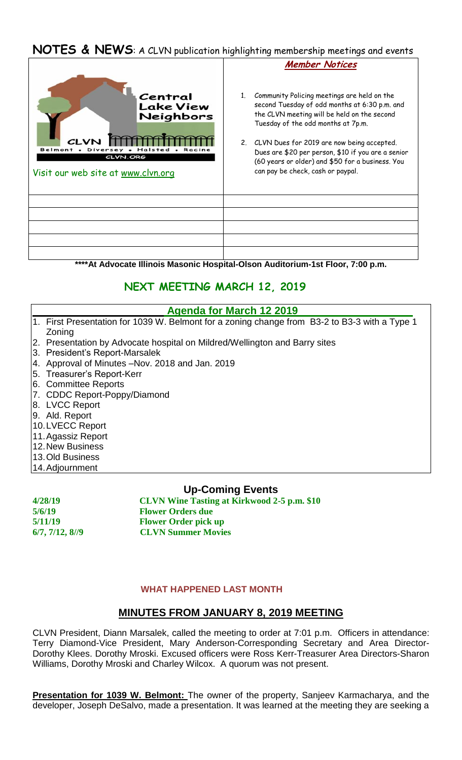# **NOTES & NEWS**: A CLVN publication highlighting membership meetings and events



**\*\*\*\*At Advocate Illinois Masonic Hospital-Olson Auditorium-1st Floor, 7:00 p.m.**

# **NEXT MEETING MARCH 12, 2019**

#### **Agenda for March 12 2019**

- 1. First Presentation for 1039 W. Belmont for a zoning change from B3-2 to B3-3 with a Type 1 Zoning
- 2. Presentation by Advocate hospital on Mildred/Wellington and Barry sites
- 3. President's Report-Marsalek
- 4. Approval of Minutes –Nov. 2018 and Jan. 2019
- 5. Treasurer's Report-Kerr
- 6. Committee Reports
- 7. CDDC Report-Poppy/Diamond
- 8. LVCC Report
- 9. Ald. Report
- 10.LVECC Report
- 11.Agassiz Report
- 12.New Business
- 13.Old Business
- 14.Adjournment

### **Up-Coming Events**

**4/28/19 CLVN Wine Tasting at Kirkwood 2-5 p.m. \$10 5/6/19 Flower Orders due 5/11/19 Flower Order pick up 6/7, 7/12, 8//9 CLVN Summer Movies** 

#### **WHAT HAPPENED LAST MONTH**

### **MINUTES FROM JANUARY 8, 2019 MEETING**

CLVN President, Diann Marsalek, called the meeting to order at 7:01 p.m. Officers in attendance: Terry Diamond-Vice President, Mary Anderson-Corresponding Secretary and Area Director-Dorothy Klees. Dorothy Mroski. Excused officers were Ross Kerr-Treasurer Area Directors-Sharon Williams, Dorothy Mroski and Charley Wilcox. A quorum was not present.

**Presentation for 1039 W. Belmont:** The owner of the property, Sanjeev Karmacharya, and the developer, Joseph DeSalvo, made a presentation. It was learned at the meeting they are seeking a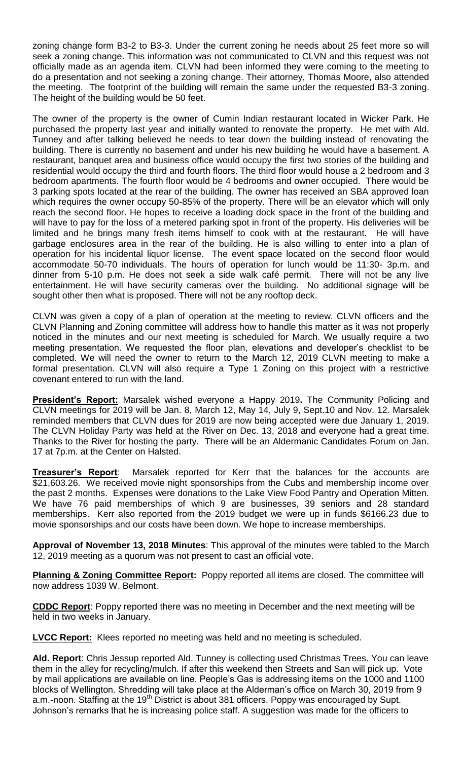zoning change form B3-2 to B3-3. Under the current zoning he needs about 25 feet more so will seek a zoning change. This information was not communicated to CLVN and this request was not officially made as an agenda item. CLVN had been informed they were coming to the meeting to do a presentation and not seeking a zoning change. Their attorney, Thomas Moore, also attended the meeting. The footprint of the building will remain the same under the requested B3-3 zoning. The height of the building would be 50 feet.

The owner of the property is the owner of Cumin Indian restaurant located in Wicker Park. He purchased the property last year and initially wanted to renovate the property. He met with Ald. Tunney and after talking believed he needs to tear down the building instead of renovating the building. There is currently no basement and under his new building he would have a basement. A restaurant, banquet area and business office would occupy the first two stories of the building and residential would occupy the third and fourth floors. The third floor would house a 2 bedroom and 3 bedroom apartments. The fourth floor would be 4 bedrooms and owner occupied. There would be 3 parking spots located at the rear of the building. The owner has received an SBA approved loan which requires the owner occupy 50-85% of the property. There will be an elevator which will only reach the second floor. He hopes to receive a loading dock space in the front of the building and will have to pay for the loss of a metered parking spot in front of the property. His deliveries will be limited and he brings many fresh items himself to cook with at the restaurant. He will have garbage enclosures area in the rear of the building. He is also willing to enter into a plan of operation for his incidental liquor license. The event space located on the second floor would accommodate 50-70 individuals. The hours of operation for lunch would be 11:30- 3p.m. and dinner from 5-10 p.m. He does not seek a side walk café permit. There will not be any live entertainment. He will have security cameras over the building. No additional signage will be sought other then what is proposed. There will not be any rooftop deck.

CLVN was given a copy of a plan of operation at the meeting to review. CLVN officers and the CLVN Planning and Zoning committee will address how to handle this matter as it was not properly noticed in the minutes and our next meeting is scheduled for March. We usually require a two meeting presentation. We requested the floor plan, elevations and developer's checklist to be completed. We will need the owner to return to the March 12, 2019 CLVN meeting to make a formal presentation. CLVN will also require a Type 1 Zoning on this project with a restrictive covenant entered to run with the land.

**President's Report:** Marsalek wished everyone a Happy 2019**.** The Community Policing and CLVN meetings for 2019 will be Jan. 8, March 12, May 14, July 9, Sept.10 and Nov. 12. Marsalek reminded members that CLVN dues for 2019 are now being accepted were due January 1, 2019. The CLVN Holiday Party was held at the River on Dec. 13, 2018 and everyone had a great time. Thanks to the River for hosting the party. There will be an Aldermanic Candidates Forum on Jan. 17 at 7p.m. at the Center on Halsted.

**Treasurer's Report**: Marsalek reported for Kerr that the balances for the accounts are \$21,603.26. We received movie night sponsorships from the Cubs and membership income over the past 2 months. Expenses were donations to the Lake View Food Pantry and Operation Mitten. We have 76 paid memberships of which 9 are businesses, 39 seniors and 28 standard memberships. Kerr also reported from the 2019 budget we were up in funds \$6166.23 due to movie sponsorships and our costs have been down. We hope to increase memberships.

**Approval of November 13, 2018 Minutes**: This approval of the minutes were tabled to the March 12, 2019 meeting as a quorum was not present to cast an official vote.

**Planning & Zoning Committee Report:** Poppy reported all items are closed. The committee will now address 1039 W. Belmont.

**CDDC Report**: Poppy reported there was no meeting in December and the next meeting will be held in two weeks in January.

**LVCC Report:** Klees reported no meeting was held and no meeting is scheduled.

**Ald. Report**: Chris Jessup reported Ald. Tunney is collecting used Christmas Trees. You can leave them in the alley for recycling/mulch. If after this weekend then Streets and San will pick up. Vote by mail applications are available on line. People's Gas is addressing items on the 1000 and 1100 blocks of Wellington. Shredding will take place at the Alderman's office on March 30, 2019 from 9 a.m.-noon. Staffing at the 19<sup>th</sup> District is about 381 officers. Poppy was encouraged by Supt. Johnson's remarks that he is increasing police staff. A suggestion was made for the officers to